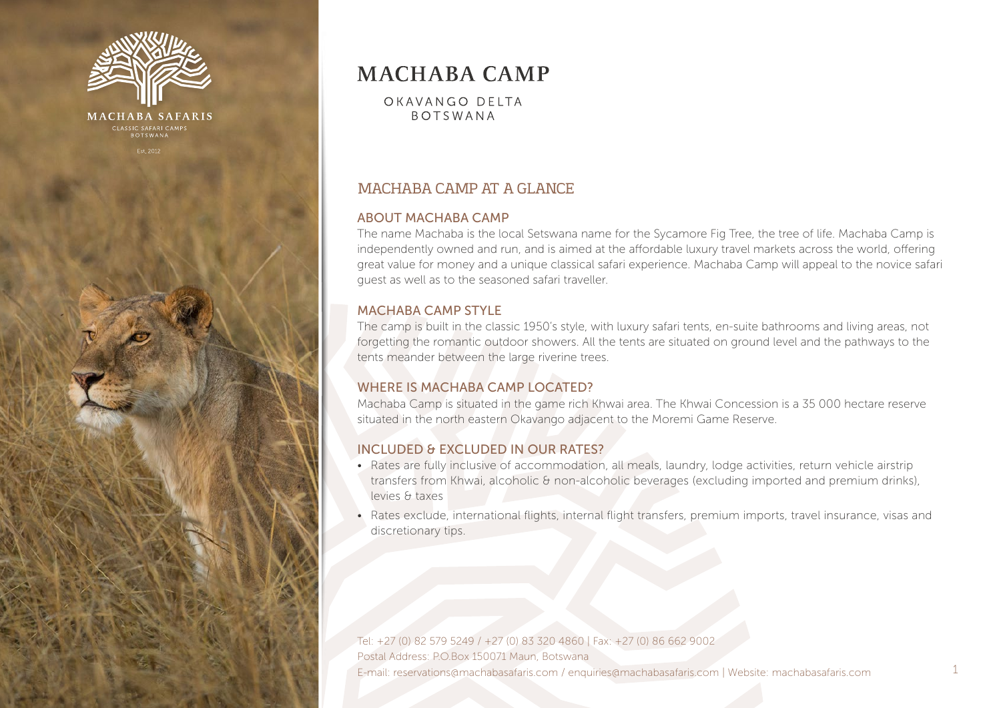

# **MACHABA CAMP**

OKAVANGO DELTA **BOTSWANA** 

# MACHABA CAMP AT A GLANCE

#### ABOUT MACHABA CAMP

The name Machaba is the local Setswana name for the Sycamore Fig Tree, the tree of life. Machaba Camp is independently owned and run, and is aimed at the affordable luxury travel markets across the world, offering great value for money and a unique classical safari experience. Machaba Camp will appeal to the novice safari guest as well as to the seasoned safari traveller.

#### MACHABA CAMP STYLE

The camp is built in the classic 1950's style, with luxury safari tents, en-suite bathrooms and living areas, not forgetting the romantic outdoor showers. All the tents are situated on ground level and the pathways to the tents meander between the large riverine trees.

## WHERE IS MACHABA CAMP LOCATED?

Machaba Camp is situated in the game rich Khwai area. The Khwai Concession is a 35 000 hectare reserve situated in the north eastern Okavango adjacent to the Moremi Game Reserve.

## INCLUDED & EXCLUDED IN OUR RATES?

- Rates are fully inclusive of accommodation, all meals, laundry, lodge activities, return vehicle airstrip transfers from Khwai, alcoholic & non-alcoholic beverages (excluding imported and premium drinks), levies & taxes
- Rates exclude, international flights, internal flight transfers, premium imports, travel insurance, visas and discretionary tips.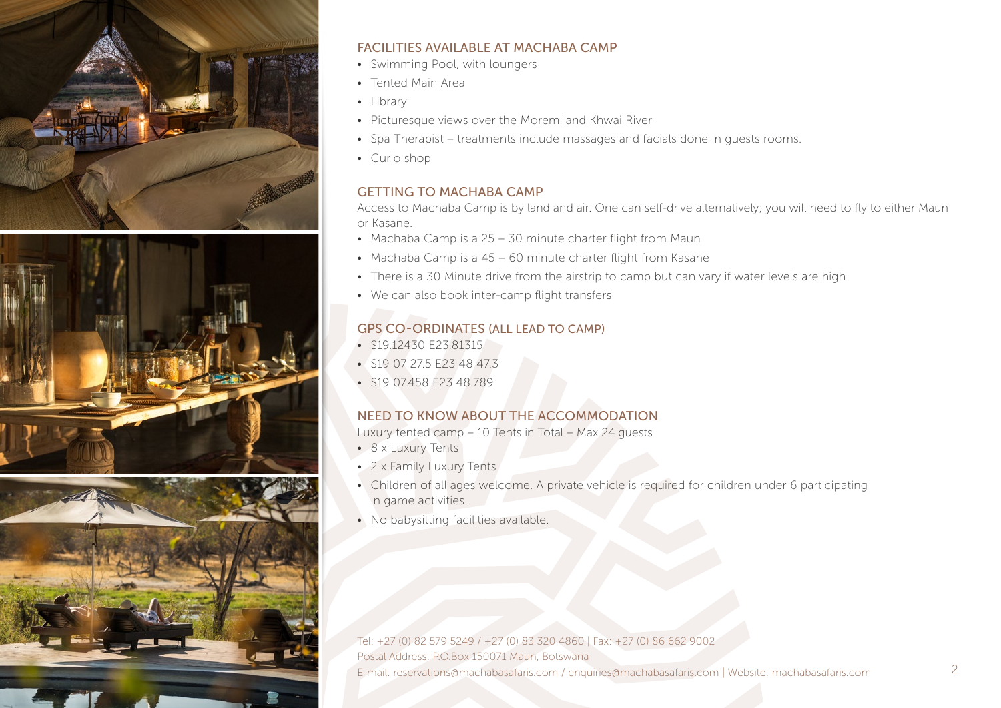





#### FACILITIES AVAILABLE AT MACHABA CAMP

- Swimming Pool, with loungers
- Tented Main Area
- Library
- Picturesque views over the Moremi and Khwai River
- Spa Therapist treatments include massages and facials done in guests rooms.
- Curio shop

## GETTING TO MACHABA CAMP

Access to Machaba Camp is by land and air. One can self-drive alternatively; you will need to fly to either Maun or Kasane.

- Machaba Camp is a 25 30 minute charter flight from Maun
- Machaba Camp is a 45 60 minute charter flight from Kasane
- There is a 30 Minute drive from the airstrip to camp but can vary if water levels are high
- We can also book inter-camp flight transfers

# GPS CO-ORDINATES (ALL LEAD TO CAMP)

- S19.12430 E23.81315
- S19 07 275 F23 48 473
- S19 07.458 E23 48.789

# NEED TO KNOW ABOUT THE ACCOMMODATION

Luxury tented camp – 10 Tents in Total – Max 24 guests

- 8 x Luxury Tents
- 2 x Family Luxury Tents
- Children of all ages welcome. A private vehicle is required for children under 6 participating in game activities.
- No babysitting facilities available.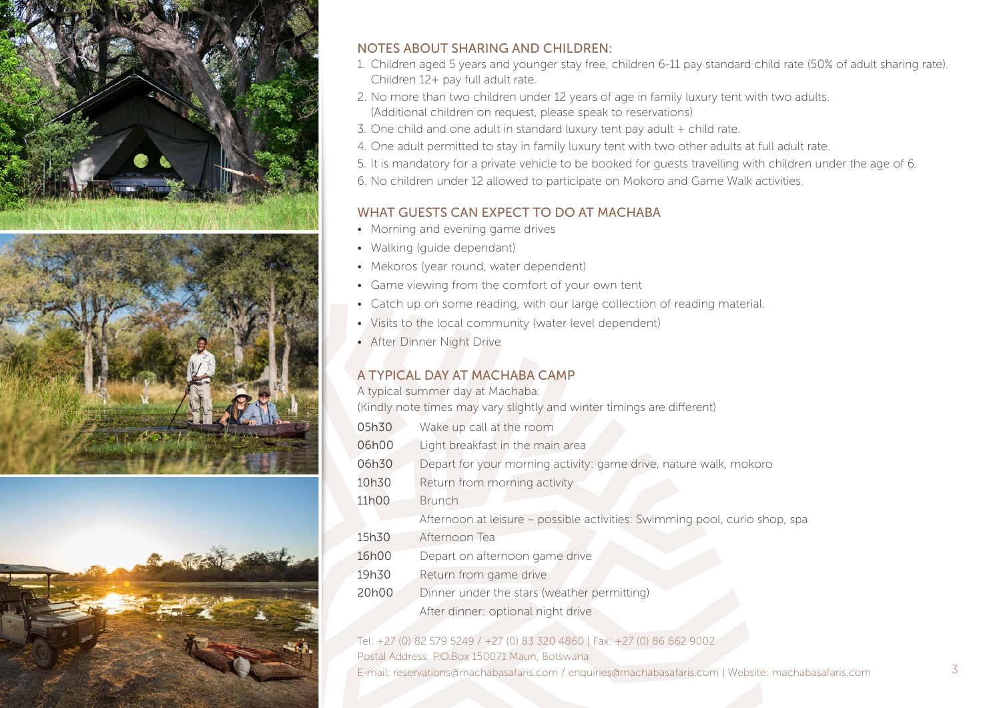

## NOTES ABOUT SHARING AND CHILDREN:

- 1. Children aged 5 years and younger stay free, children 6-11 pay standard child rate (50% of adult sharing rate). Children 12+ pay full adult rate.
- 2. No more than two children under 12 years of age in family luxury tent with two adults. (Additional children on request, please speak to reservations)
- 3. One child and one adult in standard luxury tent pay adult + child rate.
- 4. One adult permitted to stay in family luxury tent with two other adults at full adult rate.
- 5. It is mandatory for a private vehicle to be booked for guests travelling with children under the age of 6.
- 6. No children under 12 allowed to participate on Mokoro and Game Walk activities.

# WHAT GUESTS CAN EXPECT TO DO AT MACHABA

- Morning and evening game drives
- Walking (quide dependant)
- Mekoros (year round, water dependent)
- Game viewing from the comfort of your own tent
- Catch up on some reading, with our large collection of reading material.
- Visits to the local community (water level dependent)
- After Dinner Night Drive

# A TYPICAL DAY AT MACHABA CAMP

A typical summer day at Machaba:

(Kindly note times may vary slightly and winter timings are different)

| 05h30 | Wake up call at the room                                                   |
|-------|----------------------------------------------------------------------------|
| 06h00 | Light breakfast in the main area                                           |
| 06h30 | Depart for your morning activity: game drive, nature walk, mokoro          |
| 10h30 | Return from morning activity                                               |
| 11h00 | <b>Brunch</b>                                                              |
|       | Afternoon at leisure - possible activities: Swimming pool, curio shop, spa |
| 15h30 | Afternoon Tea                                                              |
| 16h00 | Depart on afternoon game drive                                             |
| 19h30 | Return from game drive                                                     |
| 20h00 | Dinner under the stars (weather permitting)                                |
|       | After dinner: optional night drive                                         |
|       |                                                                            |

## Tel: +27 (0) 82 579 5249 / +27 (0) 83 320 4860 | Fax: +27 (0) 86 662 9002

Postal Address: P.O.Box 150071 Maun, Botswana

E-mail: reservations@machabasafaris.com / enquiries@machabasafaris.com | Website: machabasafaris.com 3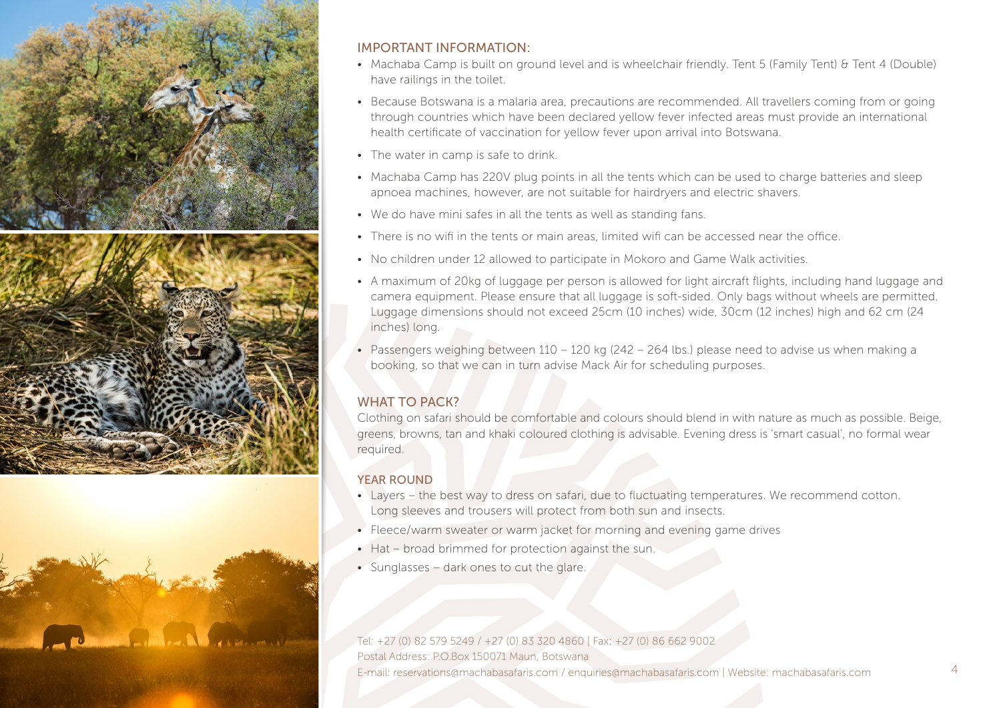

## IMPORTANT INFORMATION:

- Machaba Camp is built on ground level and is wheelchair friendly. Tent 5 (Family Tent) & Tent 4 (Double) have railings in the toilet.
- Because Botswana is a malaria area, precautions are recommended. All travellers coming from or going through countries which have been declared yellow fever infected areas must provide an international health certificate of vaccination for yellow fever upon arrival into Botswana.
- The water in camp is safe to drink.
- Machaba Camp has 220V plug points in all the tents which can be used to charge batteries and sleep apnoea machines, however, are not suitable for hairdryers and electric shavers.
- We do have mini safes in all the tents as well as standing fans.
- There is no wifi in the tents or main areas, limited wifi can be accessed near the office.
- No children under 12 allowed to participate in Mokoro and Game Walk activities.
- A maximum of 20kg of luggage per person is allowed for light aircraft flights, including hand luggage and camera equipment. Please ensure that all luggage is soft-sided. Only bags without wheels are permitted. Luggage dimensions should not exceed 25cm (10 inches) wide, 30cm (12 inches) high and 62 cm (24 inches) long.
- Passengers weighing between  $110 120$  kg ( $242 264$  lbs.) please need to advise us when making a booking, so that we can in turn advise Mack Air for scheduling purposes.

# WHAT TO PACK?

Clothing on safari should be comfortable and colours should blend in with nature as much as possible. Beige, greens, browns, tan and khaki coloured clothing is advisable. Evening dress is 'smart casual', no formal wear required.

## YEAR ROUND

- Layers the best way to dress on safari, due to fluctuating temperatures. We recommend cotton. Long sleeves and trousers will protect from both sun and insects.
- Fleece/warm sweater or warm jacket for morning and evening game drives
- Hat broad brimmed for protection against the sun.
- Sunglasses dark ones to cut the glare.